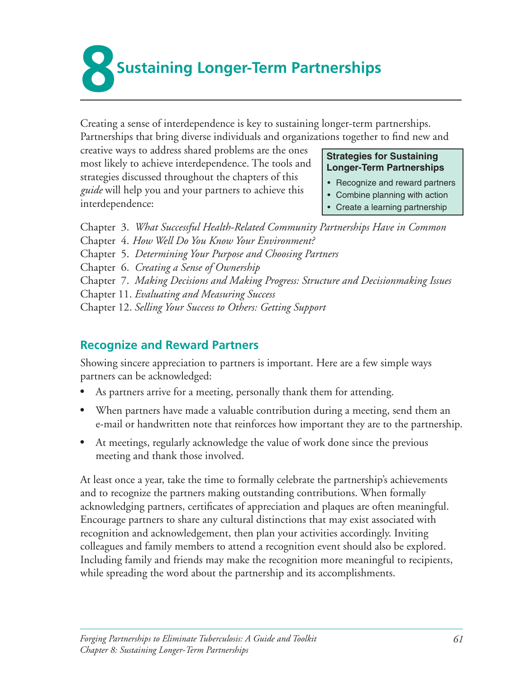

Creating a sense of interdependence is key to sustaining longer-term partnerships. Partnerships that bring diverse individuals and organizations together to find new and

creative ways to address shared problems are the ones most likely to achieve interdependence. The tools and strategies discussed throughout the chapters of this guide will help you and your partners to achieve this interdependence: 

**Strategies for Sustaining Longer-Term Partnerships** 

- Recognize and reward partners
- Combine planning with action
- Create a learning partnership

Chapter 3. *What Successful Health-Related Community Partnerships Have in Common* 

- Chapter 4. How Well Do You Know Your Environment?
- Chapter 5. Determining Your Purpose and Choosing Partners
- Chapter 6. *Creating a Sense of Ownership*
- Chapter 7. Making Decisions and Making Progress: Structure and Decisionmaking Issues

Chapter 11. *Evaluating and Measuring Success* 

Chapter 12. *Selling Your Success to Others: Getting Support* 

## **Recognize and Reward Partners**

Showing sincere appreciation to partners is important. Here are a few simple ways partners can be acknowledged:

- As partners arrive for a meeting, personally thank them for attending.
- When partners have made a valuable contribution during a meeting, send them an e-mail or handwritten note that reinforces how important they are to the partnership.
- At meetings, regularly acknowledge the value of work done since the previous meeting and thank those involved.

At least once a year, take the time to formally celebrate the partnership's achievements and to recognize the partners making outstanding contributions. When formally acknowledging partners, certificates of appreciation and plaques are often meaningful. Encourage partners to share any cultural distinctions that may exist associated with recognition and acknowledgement, then plan your activities accordingly. Inviting colleagues and family members to attend a recognition event should also be explored. Including family and friends may make the recognition more meaningful to recipients, while spreading the word about the partnership and its accomplishments.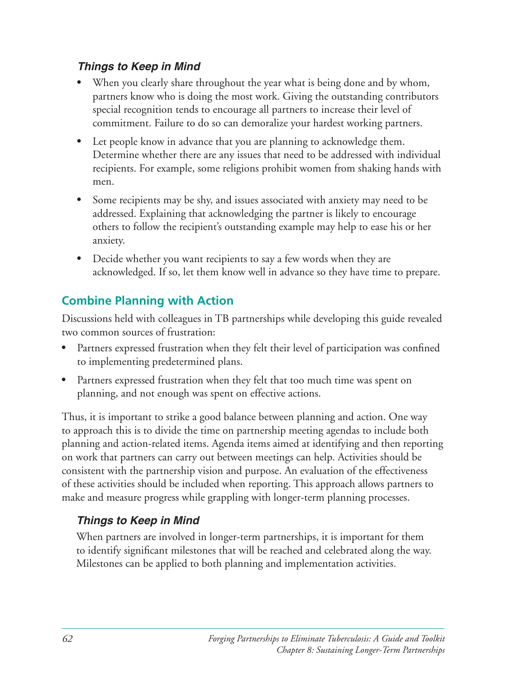#### *Things to Keep in Mind*

- When you clearly share throughout the year what is being done and by whom, partners know who is doing the most work. Giving the outstanding contributors special recognition tends to encourage all partners to increase their level of commitment. Failure to do so can demoralize your hardest working partners.
- Let people know in advance that you are planning to acknowledge them. Determine whether there are any issues that need to be addressed with individual recipients. For example, some religions prohibit women from shaking hands with men.
- Some recipients may be shy, and issues associated with anxiety may need to be addressed. Explaining that acknowledging the partner is likely to encourage others to follow the recipient's outstanding example may help to ease his or her anxiety.
- Decide whether you want recipients to say a few words when they are acknowledged. If so, let them know well in advance so they have time to prepare.

# **Combine Planning with Action**

Discussions held with colleagues in TB partnerships while developing this guide revealed two common sources of frustration:

- Partners expressed frustration when they felt their level of participation was confined to implementing predetermined plans.
- Partners expressed frustration when they felt that too much time was spent on planning, and not enough was spent on effective actions.

Thus, it is important to strike a good balance between planning and action. One way to approach this is to divide the time on partnership meeting agendas to include both planning and action-related items. Agenda items aimed at identifying and then reporting on work that partners can carry out between meetings can help. Activities should be consistent with the partnership vision and purpose. An evaluation of the effectiveness of these activities should be included when reporting. This approach allows partners to make and measure progress while grappling with longer-term planning processes.

### *Things to Keep in Mind*

When partners are involved in longer-term partnerships, it is important for them to identify significant milestones that will be reached and celebrated along the way. Milestones can be applied to both planning and implementation activities.